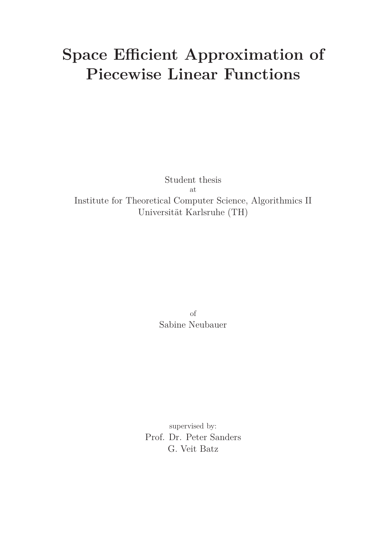# **Space Efficient Approximation of Piecewise Linear Functions**

Student thesis at Institute for Theoretical Computer Science, Algorithmics II Universität Karlsruhe (TH)

> of Sabine Neubauer

supervised by: Prof. Dr. Peter Sanders G. Veit Batz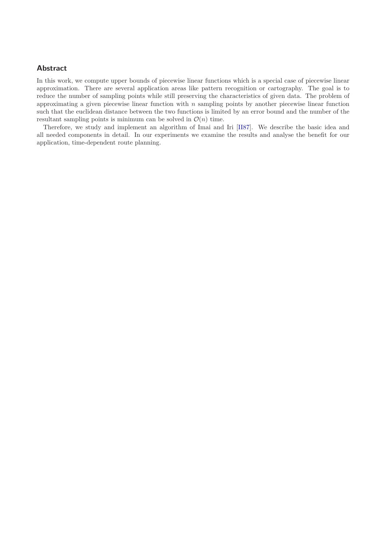#### **Abstract**

In this work, we compute upper bounds of piecewise linear functions which is a special case of piecewise linear approximation. There are several application areas like pattern recognition or cartography. The goal is to reduce the number of sampling points while still preserving the characteristics of given data. The problem of approximating a given piecewise linear function with *n* sampling points by another piecewise linear function such that the euclidean distance between the two functions is limited by an error bound and the number of the resultant sampling points is minimum can be solved in  $\mathcal{O}(n)$  time.

Therefore, we study and implement an algorithm of Imai and Iri [\[II87\]](#page-23-0). We describe the basic idea and all needed components in detail. In our experiments we examine the results and analyse the benefit for our application, time-dependent route planning.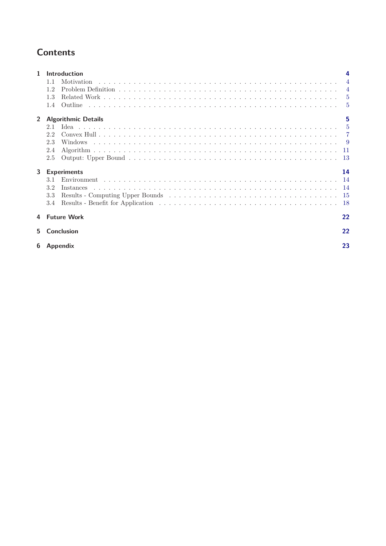## **Contents**

| 1            | <b>Introduction</b>        |                |
|--------------|----------------------------|----------------|
|              | Motivation<br>1.1          |                |
|              | 1.2                        | $\overline{4}$ |
|              | 1.3                        | $\overline{5}$ |
|              | Outline<br>1.4             | -5             |
| $\mathbf{2}$ | <b>Algorithmic Details</b> | 5              |
|              | 2.1                        | $\overline{5}$ |
|              | 2.2                        | $\overline{7}$ |
|              | 2.3                        | -9             |
|              | 2.4                        | -11            |
|              | 2.5                        | <sup>13</sup>  |
| 3            | <b>Experiments</b>         | 14             |
|              | Environment<br>3.1         | 14             |
|              | 3.2<br>Instances           | -14            |
|              | 3.3                        | -15            |
|              | 3.4                        | -18            |
| 4            | <b>Future Work</b>         | 22             |
| 5.           | <b>Conclusion</b>          | 22             |
| 6            | <b>Appendix</b>            | 23             |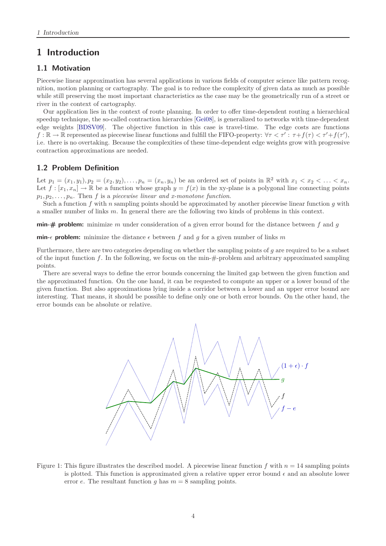### <span id="page-3-1"></span><span id="page-3-0"></span>**1 Introduction**

#### **1.1 Motivation**

Piecewise linear approximation has several applications in various fields of computer science like pattern recognition, motion planning or cartography. The goal is to reduce the complexity of given data as much as possible while still preserving the most important characteristics as the case may be the geometrically run of a street or river in the context of cartography.

Our application lies in the context of route planning. In order to offer time-dependent routing a hierarchical speedup technique, the so-called contraction hierarchies [\[Gei08\]](#page-23-1), is generalized to networks with time-dependent edge weights [\[BDSV09\]](#page-23-2). The objective function in this case is travel-time. The edge costs are functions  $f: \mathbb{R} \to \mathbb{R}$  represented as piecewise linear functions and fulfill the FIFO-property:  $\forall \tau < \tau' : \tau + f(\tau) < \tau' + f(\tau')$ , i.e. there is no overtaking. Because the complexities of these time-dependent edge weights grow with progressive contraction approximations are needed.

#### <span id="page-3-2"></span>**1.2 Problem Definition**

Let  $p_1 = (x_1, y_1), p_2 = (x_2, y_2), \ldots, p_n = (x_n, y_n)$  be an ordered set of points in  $\mathbb{R}^2$  with  $x_1 < x_2 < \ldots < x_n$ . Let  $f : [x_1, x_n] \to \mathbb{R}$  be a function whose graph  $y = f(x)$  in the xy-plane is a polygonal line connecting points  $p_1, p_2, \ldots, p_n$ . Then *f* is a *piecewise linear and x-monotone function*.

Such a function *f* with *n* sampling points should be approximated by another piecewise linear function *g* with a smaller number of links *m*. In general there are the following two kinds of problems in this context.

**min-# problem:** minimize *m* under consideration of a given error bound for the distance between *f* and *g*

**min**- $\epsilon$  **problem:** minimize the distance  $\epsilon$  between  $f$  and  $g$  for a given number of links  $m$ 

Furthermore, there are two categories depending on whether the sampling points of *g* are required to be a subset of the input function  $f$ . In the following, we focus on the min- $\#$ -problem and arbitrary approximated sampling points.

There are several ways to define the error bounds concerning the limited gap between the given function and the approximated function. On the one hand, it can be requested to compute an upper or a lower bound of the given function. But also approximations lying inside a corridor between a lower and an upper error bound are interesting. That means, it should be possible to define only one or both error bounds. On the other hand, the error bounds can be absolute or relative.



<span id="page-3-3"></span>Figure 1: This figure illustrates the described model. A piecewise linear function  $f$  with  $n = 14$  sampling points is plotted. This function is approximated given a relative upper error bound  $\epsilon$  and an absolute lower error *e*. The resultant function  $g$  has  $m = 8$  sampling points.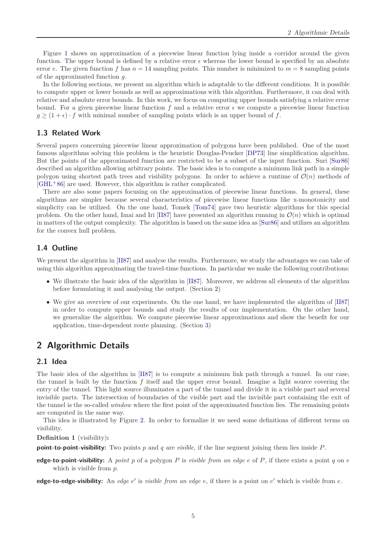Figure [1](#page-3-3) shows an approximation of a piecewise linear function lying inside a corridor around the given function. The upper bound is defined by a relative error  $\epsilon$  whereas the lower bound is specified by an absolute error *e*. The given function *f* has  $n = 14$  sampling points. This number is minimized to  $m = 8$  sampling points of the approximated function *g*.

In the following sections, we present an algorithm which is adaptable to the different conditions. It is possible to compute upper or lower bounds as well as approximations with this algorithm. Furthermore, it can deal with relative and absolute error bounds. In this work, we focus on computing upper bounds satisfying a relative error bound. For a given piecewise linear function  $f$  and a relative error  $\epsilon$  we compute a piecewise linear function  $g \geq (1 + \epsilon) \cdot f$  with minimal number of sampling points which is an upper bound of *f*.

#### <span id="page-4-0"></span>**1.3 Related Work**

Several papers concerning piecewise linear approximation of polygons have been published. One of the most famous algorithms solving this problem is the heuristic Douglas-Peucker [\[DP73\]](#page-23-3) line simplification algorithm. But the points of the approximated function are restricted to be a subset of the input function. Suri [\[Sur86\]](#page-23-4) described an algorithm allowing arbitrary points. The basic idea is to compute a minimum link path in a simple polygon using shortest path trees and visibility polygons. In order to achieve a runtime of  $\mathcal{O}(n)$  methods of [\[GHL](#page-23-5)<sup>+</sup>86] are used. However, this algorithm is rather complicated.

There are also some papers focusing on the approximation of piecewise linear functions. In general, these algorithms are simpler because several characteristics of piecewise linear functions like x-monotonicity and simplicity can be utilized. On the one hand, Tomek [\[Tom74\]](#page-23-6) gave two heuristic algorithms for this special problem. On the other hand, Imai and Iri [\[II87\]](#page-23-0) have presented an algorithm running in  $\mathcal{O}(n)$  which is optimal in matters of the output complexity. The algorithm is based on the same idea as [\[Sur86\]](#page-23-4) and utilizes an algorithm for the convex hull problem.

#### <span id="page-4-1"></span>**1.4 Outline**

We present the algorithm in [\[II87\]](#page-23-0) and analyse the results. Furthermore, we study the advantages we can take of using this algorithm approximating the travel-time functions. In particular we make the following contributions:

- We illustrate the basic idea of the algorithm in [\[II87\]](#page-23-0). Moreover, we address all elements of the algorithm before formulating it and analysing the output. (Section [2\)](#page-4-2)
- We give an overview of our experiments. On the one hand, we have implemented the algorithm of [\[II87\]](#page-23-0) in order to compute upper bounds and study the results of our implementation. On the other hand, we generalize the algorithm. We compute piecewise linear approximations and show the benefit for our application, time-dependent route planning. (Section [3\)](#page-13-0)

## <span id="page-4-2"></span>**2 Algorithmic Details**

#### <span id="page-4-3"></span>**2.1 Idea**

The basic idea of the algorithm in [\[II87\]](#page-23-0) is to compute a minimum link path through a tunnel. In our case, the tunnel is built by the function *f* itself and the upper error bound. Imagine a light source covering the entry of the tunnel. This light source illuminates a part of the tunnel and divide it in a visible part and several invisible parts. The intersection of boundaries of the visible part and the invisible part containing the exit of the tunnel is the so-called *window* where the first point of the approximated function lies. The remaining points are computed in the same way.

This idea is illustrated by Figure [2.](#page-5-0) In order to formalize it we need some definitions of different terms on visibility.

#### <span id="page-4-4"></span>**Definition 1** (visibility)**:**

**point-to-point-visibility:** Two points  $p$  and  $q$  are *visible*, if the line segment joining them lies inside  $P$ .

**edge-to-point-visibility:** A *point p* of a polygon *P* is *visible from an edge e* of *P*, if there exists a point *q* on *e* which is visible from *p*.

**edge-to-edge-visibility:** An *edge e ′* is *visible from an edge e*, if there is a point on *e ′* which is visible from *e*.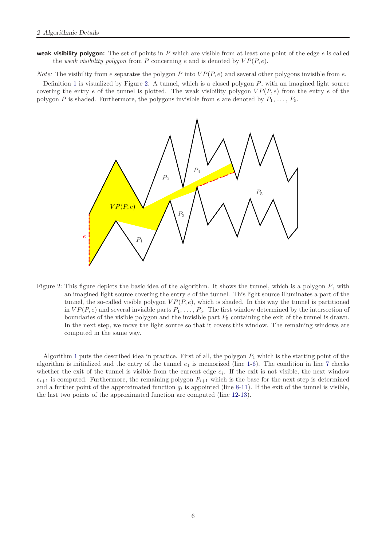**weak visibility polygon:** The set of points in *P* which are visible from at least one point of the edge *e* is called the *weak visibility polygon* from  $P$  concerning  $e$  and is denoted by  $VP(P, e)$ .

*Note:* The visibility from *e* separates the polygon *P* into  $VP(P, e)$  and several other polygons invisible from *e*.

Definition [1](#page-4-4) is visualized by Figure [2.](#page-5-0) A tunnel, which is a closed polygon *P*, with an imagined light source covering the entry *e* of the tunnel is plotted. The weak visibility polygon *V P*(*P, e*) from the entry *e* of the polygon *P* is shaded. Furthermore, the polygons invisible from *e* are denoted by  $P_1, \ldots, P_5$ .



<span id="page-5-0"></span>Figure 2: This figure depicts the basic idea of the algorithm. It shows the tunnel, which is a polygon *P*, with an imagined light source covering the entry *e* of the tunnel. This light source illuminates a part of the tunnel, the so-called visible polygon  $VP(P, e)$ , which is shaded. In this way the tunnel is partitioned in  $VP(P, e)$  and several invisible parts  $P_1, \ldots, P_5$ . The first window determined by the intersection of boundaries of the visible polygon and the invisible part *P*<sup>5</sup> containing the exit of the tunnel is drawn. In the next step, we move the light source so that it covers this window. The remaining windows are computed in the same way.

Algorithm [1](#page-6-1) puts the described idea in practice. First of all, the polygon *P*<sup>1</sup> which is the starting point of the algorithm is initialized and the entry of the tunnel *e*<sup>1</sup> is memorized (line [1-](#page-6-2)[6\)](#page-6-3). The condition in line [7](#page-6-4) checks whether the exit of the tunnel is visible from the current edge  $e_i$ . If the exit is not visible, the next window  $e_{i+1}$  is computed. Furthermore, the remaining polygon  $P_{i+1}$  which is the base for the next step is determined and a further point of the approximated function  $q_i$  is appointed (line [8-](#page-6-5)[11\)](#page-6-6). If the exit of the tunnel is visible, the last two points of the approximated function are computed (line [12](#page-6-7)[-13\)](#page-6-8).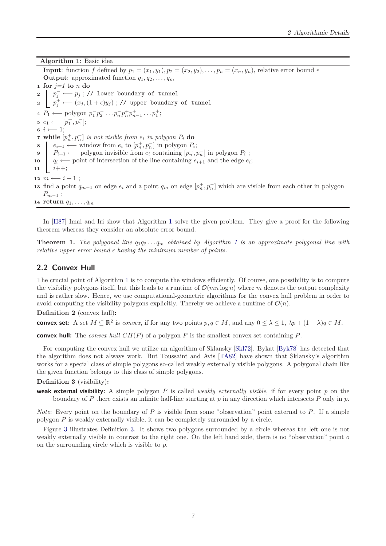**Algorithm 1**: Basic idea

<span id="page-6-5"></span><span id="page-6-4"></span><span id="page-6-3"></span><span id="page-6-2"></span><span id="page-6-1"></span>**Input**: function *f* defined by  $p_1 = (x_1, y_1), p_2 = (x_2, y_2), \ldots, p_n = (x_n, y_n)$ , relative error bound  $\epsilon$ **Output:** approximated function  $q_1, q_2, \ldots, q_m$ **<sup>1</sup> for** *j=1* **to** *n* **do** *p −* **<sup>2</sup>** *<sup>j</sup> ←− p<sup>j</sup>* ; // lower boundary of tunnel *z*  $\left[ p_j^+ \longleftarrow (x_j, (1+\epsilon)y_j)$  ; // upper boundary of tunnel  $P_1 \longleftarrow$  polygon  $p_1^-$ 1 *p −* **4**  $P_1$  ← polygon  $p_1^- p_2^- \dots p_n^- p_n^+ p_{n-1}^+ \dots p_1^+$ ;  $e_1 \longleftarrow [p_1^+, p_1^-];$ **<sup>6</sup>** *i ←−* 1; **7** while  $[p_n^+, p_n^-]$  *is not visible from*  $e_i$  *<i>in polygon*  $P_i$  **do** *e*<sub>*i*</sub>+1 *←−* window from  $e_i$  to  $[p_n^+, p_n^-]$  in polygon  $P_i$ ;  $P_{i+1} \longleftarrow$  polygon invisible from  $e_i$  containing  $[p_n^+, p_n^-]$  in polygon  $P_i$ ; **10**  $\left| q_i \right|$  ← point of intersection of the line containing  $e_{i+1}$  and the edge  $e_i$ ; **<sup>11</sup>** *i*++; **12**  $m \leftarrow i+1$  ; **f**<sub>13</sub> find a point  $q_{m-1}$  on edge  $e_i$  and a point  $q_m$  on edge  $[p_n^+, p_n^-]$  which are visible from each other in polygon *Pm−*<sup>1</sup> ; **<sup>14</sup> return** *q*1*, . . . , q<sup>m</sup>*

<span id="page-6-8"></span><span id="page-6-7"></span><span id="page-6-6"></span>In [\[II87\]](#page-23-0) Imai and Iri show that Algorithm [1](#page-6-1) solve the given problem. They give a proof for the following theorem whereas they consider an absolute error bound.

**Theorem [1](#page-6-1).** *The polygonal line*  $q_1q_2...q_m$  *obtained by Algorithm* 1 *is an approximate polygonal line with relative upper error bound*  $\epsilon$  *having the minimum number of points.* 

#### <span id="page-6-0"></span>**2.2 Convex Hull**

The crucial point of Algorithm [1](#page-6-1) is to compute the windows efficiently. Of course, one possibility is to compute the visibility polygons itself, but this leads to a runtime of  $\mathcal{O}(mn \log n)$  where m denotes the output complexity and is rather slow. Hence, we use computational-geometric algorithms for the convex hull problem in order to avoid computing the visibility polygons explicitly. Thereby we achieve a runtime of  $\mathcal{O}(n)$ .

**Definition 2** (convex hull)**:**

**convex set:** A set  $M \subseteq \mathbb{R}^2$  is *convex*, if for any two points  $p, q \in M$ , and any  $0 \leq \lambda \leq 1$ ,  $\lambda p + (1 - \lambda)q \in M$ .

**convex hull:** The *convex hull CH*(*P*) of a polygon *P* is the smallest convex set containing *P*.

For computing the convex hull we utilize an algorithm of Sklansky [\[Skl72\]](#page-23-7). Bykat [\[Byk78\]](#page-23-8) has detected that the algorithm does not always work. But Toussaint and Avis [\[TA82\]](#page-23-9) have shown that Sklansky's algorithm works for a special class of simple polygons so-called weakly externally visible polygons. A polygonal chain like the given function belongs to this class of simple polygons.

<span id="page-6-9"></span>**Definition 3** (visibility)**:**

**weak external visibility:** A simple polygon *P* is called *weakly externally visible*, if for every point *p* on the boundary of *P* there exists an infinite half-line starting at *p* in any direction which intersects *P* only in *p*.

*Note*: Every point on the boundary of *P* is visible from some "observation" point external to *P*. If a simple polygon *P* is weakly externally visible, it can be completely surrounded by a circle.

Figure [3](#page-7-0) illustrates Definition [3.](#page-6-9) It shows two polygons surrounded by a circle whereas the left one is not weakly externally visible in contrast to the right one. On the left hand side, there is no "observation" point *o* on the surrounding circle which is visible to *p*.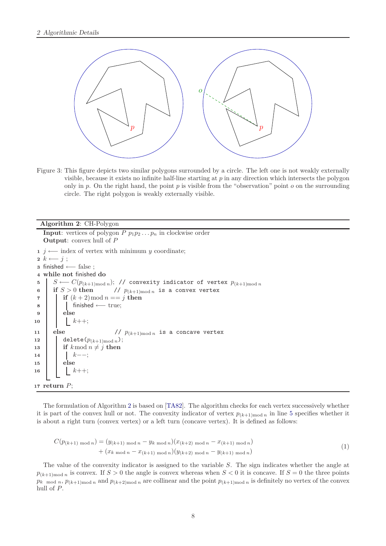

<span id="page-7-0"></span>Figure 3: This figure depicts two similar polygons surrounded by a circle. The left one is not weakly externally visible, because it exists no infinite half-line starting at *p* in any direction which intersects the polygon only in *p*. On the right hand, the point *p* is visible from the "observation" point *o* on the surrounding circle. The right polygon is weakly externally visible.

#### **Algorithm 2**: CH-Polygon

```
Input: vertices of polygon P p_1 p_2 \ldots p_n in clockwise order
   Output: convex hull of P
 1 j ←− index of vertex with minimum y coordinate;
 2 k ←− j ;
 3 finished ←− false ;
 4 while not finished do
 5 b S ←− C(p_{(k+1) \text{mod } n}); // convexity indicator of vertex p_{(k+1) \text{mod } n}<br>6 if S > 0 then // p_{(k+1) \text{mod } n} is a convex vertex
 6 if S > 0 then // p_{(k+1) \text{mod } n} is a convex vertex
 7 if (k+2) \text{ mod } n == j then
 8 finished ←− true;
 9 else
10 | k++;
11 else \frac{1}{p(k+1)\pmod{n}} is a concave vertex
12 delete(p_{(k+1) \text{mod } n});13 if k \mod n \neq j then
14 k−−;
15 else
16 k++;
17 return P;
```
<span id="page-7-4"></span>The formulation of Algorithm [2](#page-7-1) is based on [\[TA82\]](#page-23-9). The algorithm checks for each vertex successively whether it is part of the convex hull or not. The convexity indicator of vertex  $p_{(k+1) \text{mod } n}$  in line [5](#page-7-2) specifies whether it is about a right turn (convex vertex) or a left turn (concave vertex). It is defined as follows:

$$
C(p_{(k+1) \mod n}) = (y_{(k+1) \mod n} - y_{k \mod n})(x_{(k+2) \mod n} - x_{(k+1) \mod n})
$$
  
+ 
$$
(x_{k \mod n} - x_{(k+1) \mod n})(y_{(k+2) \mod n} - y_{(k+1) \mod n})
$$
 (1)

The value of the convexity indicator is assigned to the variable *S*. The sign indicates whether the angle at  $p_{(k+1) \text{mod } n}$  is convex. If  $S > 0$  the angle is convex whereas when  $S < 0$  it is concave. If  $S = 0$  the three points  $p_k$  mod *n*,  $p_{(k+1) \text{mod } n}$  and  $p_{(k+2) \text{mod } n}$  are collinear and the point  $p_{(k+1) \text{mod } n}$  is definitely no vertex of the convex hull of *P*.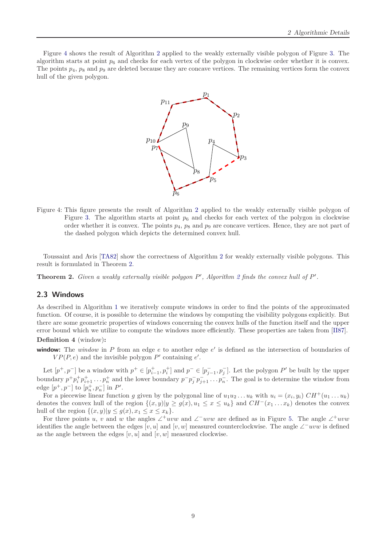Figure [4](#page-8-1) shows the result of Algorithm [2](#page-7-1) applied to the weakly externally visible polygon of Figure [3.](#page-7-0) The algorithm starts at point  $p_6$  and checks for each vertex of the polygon in clockwise order whether it is convex. The points  $p_4$ ,  $p_8$  and  $p_9$  are deleted because they are concave vertices. The remaining vertices form the convex hull of the given polygon.



<span id="page-8-1"></span>Figure 4: This figure presents the result of Algorithm [2](#page-7-1) applied to the weakly externally visible polygon of Figure [3.](#page-7-0) The algorithm starts at point  $p_6$  and checks for each vertex of the polygon in clockwise order whether it is convex. The points  $p_4$ ,  $p_8$  and  $p_9$  are concave vertices. Hence, they are not part of the dashed polygon which depicts the determined convex hull.

<span id="page-8-2"></span>Toussaint and Avis [\[TA82\]](#page-23-9) show the correctness of Algorithm [2](#page-7-1) for weakly externally visible polygons. This result is formulated in Theorem [2.](#page-8-2)

**Theorem 2.** *Given a weakly externally visible polygon P ′ , Algorithm [2](#page-7-1) finds the convex hull of P ′ .*

#### <span id="page-8-0"></span>**2.3 Windows**

As described in Algorithm [1](#page-6-1) we iteratively compute windows in order to find the points of the approximated function. Of course, it is possible to determine the windows by computing the visibility polygons explicitly. But there are some geometric properties of windows concerning the convex hulls of the function itself and the upper error bound which we utilize to compute the windows more efficiently. These properties are taken from [\[II87\]](#page-23-0).

#### **Definition 4** (window)**:**

**window:** The *window* in *P* from an edge *e* to another edge *e ′* is defined as the intersection of boundaries of *VP*(*P, e*) and the invisible polygon  $P'$  containing  $e'$ .

Let  $[p^+, p^-]$  be a window with  $p^+ \in [p_{i-1}^+, p_i^+]$  and  $p^- \in [p_{j-1}^-, p_j^-]$ . Let the polygon P' be built by the upper boundary  $p^+p_i^+p_{i+1}^+ \dots p_n^+$  and the lower boundary  $p^-p_j^ \bar{j}$   $\bar{p}_{j+1}$   $\ldots$   $\bar{p}_n$ . The goal is to determine the window from edge  $[p^+, p^-]$  to  $[p_n^+, p_n^-]$  in  $P'$ .

For a piecewise linear function *g* given by the polygonal line of  $u_1u_2 \ldots u_k$  with  $u_i = (x_i, y_i) \; CH^+(u_1 \ldots u_k)$ denotes the convex hull of the region  $\{(x, y)|y \ge g(x), u_1 \le x \le u_k\}$  and  $CH^{-}(x_1...x_k)$  denotes the convex hull of the region  $\{(x, y)|y \le g(x), x_1 \le x \le x_k\}.$ 

For three points *u*, *v* and *w* the angles ∠<sup>+</sup>*uvw* and ∠<sup>−</sup>*uvw* are defined as in Figure [5.](#page-9-0) The angle ∠<sup>+</sup>*uvw* identifies the angle between the edges  $[v, u]$  and  $[v, w]$  measured counterclockwise. The angle ∠ $^-uvw$  is defined as the angle between the edges  $[v, u]$  and  $[v, w]$  measured clockwise.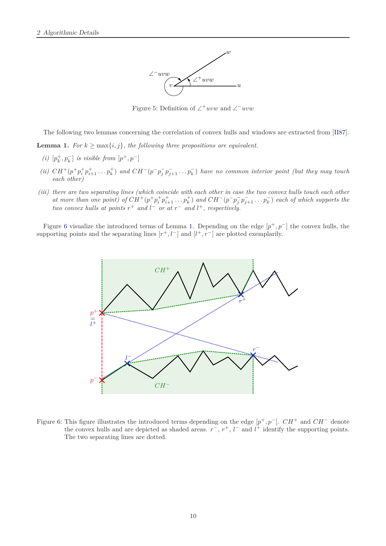

<span id="page-9-0"></span>Figure 5: Definition of ∠ <sup>+</sup>*uvw* and ∠ *<sup>−</sup>uvw*

The following two lemmas concerning the correlation of convex hulls and windows are extracted from [\[II87\]](#page-23-0).

<span id="page-9-3"></span>**Lemma 1.** *For*  $k \ge \max\{i, j\}$ *, the following three propositions are equivalent.* 

- $\left\{ \left( i\right) \right. \left[ p_{k}^{+},p_{k}^{-}\right]$   $is \; visible\; from\; \left[ p^{+},p^{-}\right]$
- *(ii)*  $CH^+(p^+p_i^+p_{i+1}^+\ldots p_k^+)$  *and*  $CH^-(p^-p_j^-)$  $\overline{f}_j^p$  *p*<sub> $j+1$ </sub>  $\ldots$  *p*<sub>*k*</sub></sub><sup> $)$ </sup> *have no common interior point (but they may touch each other)*
- <span id="page-9-2"></span>*(iii) there are two separating lines (which coincide with each other in case the two convex hulls touch each other at more than one point) of*  $CH^+(p^+p_i^+p_{i+1}^+ \ldots p_k^+)$  *and*  $CH^-(p^-p_j^ \overline{f}$  *p*<sub> $\overline{j}$ </sup> +1  $\ldots$  *p*<sub>*k*</sub></sub><sup>*n*</sup>) *each of which supports the two convex hulls at points*  $r^+$  *and*  $l^-$  *or at*  $r^-$  *and*  $l^+$ *, respectively.*

Figure [6](#page-9-1) visualize the introduced terms of Lemma [1.](#page-9-2) Depending on the edge  $[p^+, p^-]$  the convex hulls, the supporting points and the separating lines  $[r^+, l^-]$  and  $[l^+, r^-]$  are plotted exemplarily.



<span id="page-9-1"></span>Figure 6: This figure illustrates the introduced terms depending on the edge [*p* <sup>+</sup>*, p<sup>−</sup>*]. *CH*<sup>+</sup> and *CH<sup>−</sup>* denote the convex hulls and are depicted as shaded areas.  $r^-, r^+, l^-$  and  $l^+$  identify the supporting points. The two separating lines are dotted.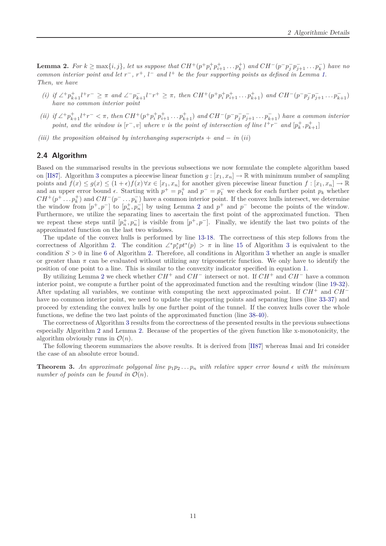<span id="page-10-1"></span>**Lemma 2.** For  $k \ge \max\{i, j\}$ , let us suppose that  $CH^+(p^+p_i^+p_{i+1}^+ \dots p_k^+)$  and  $CH^-(p^-p_j^$ *j p − <sup>j</sup>*+1 *. . . p<sup>−</sup> k* ) *have no common interior point and let*  $r^-$ ,  $r^+$ ,  $l^-$  *and*  $l^+$  *be the four supporting points as defined in Lemma [1.](#page-9-3) Then, we have*

- (i) if  $\angle^+ p_{k+1}^+ l^+ r^- \geq \pi$  and  $\angle^- p_{k+1}^- l^- r^+ \geq \pi$ , then  $CH^+(p^+ p_i^+ p_{i+1}^+ \dots p_{k+1}^+)$  and  $CH^-(p^- p_j^ \overline{p}$  *j* $\overline{p}$ <sub>*j*+1</sub> . . .  $\overline{p}$ <sub>*k*+1</sub></sub>) *have no common interior point*
- (ii) if  $\angle^+ p_{k+1}^+ l^+ r^- < \pi$ , then  $CH^+(p^+ p_i^+ p_{i+1}^+ \dots p_{k+1}^+)$  and  $CH^-(p^- p_j^$ *j p − <sup>j</sup>*+1 *. . . p<sup>−</sup> <sup>k</sup>*+1) *have a common interior point, and the window is*  $[r^-, v]$  *where v is the point of intersection of line*  $l^+r^-$  *and*  $[p_k^+, p_{k+1}^+]$
- *(iii) the proposition obtained by interchanging superscripts* + *and − in* (*ii*)

#### <span id="page-10-0"></span>**2.4 Algorithm**

Based on the summarised results in the previous subsections we now formulate the complete algorithm based on [\[II87\]](#page-23-0). Algorithm [3](#page-11-0) computes a piecewise linear function  $g: [x_1, x_n] \to \mathbb{R}$  with minimum number of sampling points and  $f(x) \leq g(x) \leq (1+\epsilon)f(x) \forall x \in [x_1, x_n]$  for another given piecewise linear function  $f:[x_1, x_n] \to \mathbb{R}$ and an upper error bound  $\epsilon$ . Starting with  $p^+ = p_1^+$  and  $p^- = p_1^-$  we check for each further point  $p_k$  whether  $CH^+(p^+ \n\t\ldots p_k^+)$  and  $CH^-(p^- \n\t\ldots p_k^-)$  have a common interior point. If the convex hulls intersect, we determine the window from  $[p^+, p^-]$  to  $[p^+, p^-]$  by using Lemma [2](#page-10-1) and  $p^+$  and  $p^-$  become the points of the window. Furthermore, we utilize the separating lines to ascertain the first point of the approximated function. Then we repeat these steps until  $[p_n^+, p_n^-]$  is visible from  $[p^+, p^-]$ . Finally, we identify the last two points of the approximated function on the last two windows.

The update of the convex hulls is performed by line [13-](#page-11-1)[18.](#page-11-2) The correctness of this step follows from the correctness of Algorithm [2.](#page-7-1) The condition  $\angle^* p_i^* p t^* (p) > \pi$  in line [15](#page-11-3) of Algorithm [3](#page-11-0) is equivalent to the condition  $S > 0$  in line [6](#page-7-3) of Algorithm [2.](#page-7-1) Therefore, all conditions in Algorithm [3](#page-11-0) whether an angle is smaller or greater than  $\pi$  can be evaluated without utilizing any trigeometric function. We only have to identify the position of one point to a line. This is similar to the convexity indicator specified in equation [1.](#page-7-4)

By utilizing Lemma [2](#page-10-1) we check whether *CH*<sup>+</sup> and *CH<sup>−</sup>* intersect or not. If *CH*<sup>+</sup> and *CH<sup>−</sup>* have a common interior point, we compute a further point of the approximated function and the resulting window (line [19-](#page-11-4)[32\)](#page-11-5). After updating all variables, we continue with computing the next approximated point. If *CH*<sup>+</sup> and *CH<sup>−</sup>* have no common interior point, we need to update the supporting points and separating lines (line [33](#page-11-6)[-37\)](#page-11-7) and proceed by extending the convex hulls by one further point of the tunnel. If the convex hulls cover the whole functions, we define the two last points of the approximated function (line [38](#page-11-8)[-40\)](#page-11-9).

The correctness of Algorithm [3](#page-11-0) results from the correctness of the presented results in the previous subsections especially Algorithm [2](#page-7-1) and Lemma [2.](#page-10-1) Because of the properties of the given function like x-monotonicity, the algorithm obviously runs in  $\mathcal{O}(n)$ .

The following theorem summarizes the above results. It is derived from [\[II87\]](#page-23-0) whereas Imai and Iri consider the case of an absolute error bound.

**Theorem 3.** An approximate polygonal line  $p_1p_2...p_n$  with relative upper error bound  $\epsilon$  with the minimum *number of points can be found in*  $\mathcal{O}(n)$ *.*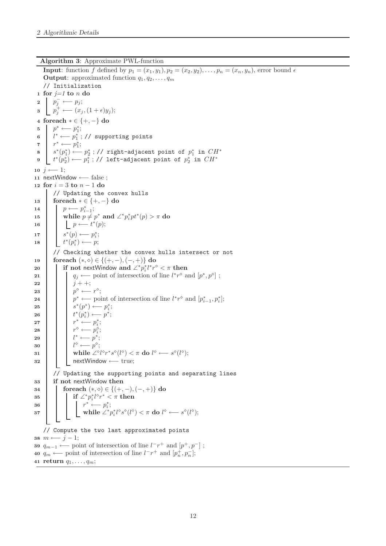**Algorithm 3**: Approximate PWL-function

<span id="page-11-9"></span><span id="page-11-8"></span><span id="page-11-7"></span><span id="page-11-6"></span><span id="page-11-5"></span><span id="page-11-4"></span><span id="page-11-3"></span><span id="page-11-2"></span><span id="page-11-1"></span><span id="page-11-0"></span>**Input**: function *f* defined by  $p_1 = (x_1, y_1), p_2 = (x_2, y_2), \ldots, p_n = (x_n, y_n)$ , error bound  $\epsilon$ **Output:** approximated function  $q_1, q_2, \ldots, q_m$ // Initialization **<sup>1</sup> for** *j=1* **to** *n* **do 2**  $\vert \rho_j^-$  ←− *p*<sub>j</sub>; **3**  $\left[ p_j^+ \leftarrow (x_j, (1+\epsilon)y_j);$ **<sup>4</sup> foreach** *∗ ∈ {*+*, −}* **do**  $p^* \longleftarrow p_1^*$ ; *l <sup>∗</sup> ←− p ∗* 1 **<sup>6</sup>** ; // supporting points  $r^* \longleftarrow r^*$ ;  $s^*(p_1^*)$   $\longleftarrow p_2^*$ ; // right-adjacent point of  $p_1^*$  in  $CH^*$ **8** *t*<sup>\*</sup>( $p_2^*$ ) ←−*p*<sup>\*</sup><sub>1</sub>;// left-adjacent point of  $p_2^*$  in  $CH^*$ **9 10**  $j \leftarrow 1$ ; **<sup>11</sup>** nextWindow *←−* false ; **<sup>12</sup> for** *i* = 3 **to** *n −* 1 **do** // Updating the convex hulls **<sup>13</sup> foreach** *∗ ∈ {*+*, −}* **do**  $p \longleftarrow p_{i-1}^*;$ **15 b while**  $p \neq p^*$  and  $\angle^* p_i^* pt^* (p) > \pi$  do  $p \longleftarrow t^*(p);$ *s***<sup>\*</sup>(***p***) ←−***p***<sup>\*</sup>;**  $t^*(p_i^*) \longleftarrow p;$ // Checking whether the convex hulls intersect or not **<sup>19</sup> foreach** (*∗, ⋄*) *∈ {*(+*, −*)*,*(*−,* +)*}* **do**  $\begin{cases} \n\cdot \text{if not nextWindow and } \angle^* p_i^* l^* r^\diamond < \pi \text{ then} \n\end{cases}$ *q***<sub>j</sub>** ← point of intersection of line  $l^*r^{\diamond}$  and  $[p^*, p^{\diamond}]$ ; **22 j j**  $j + +$ ; **23**  $\vert \cdot \vert \cdot \vert p^{\diamond} \longleftarrow r^{\diamond};$ *p <sup>∗</sup> ←−* point of intersection of line *l ∗ r <sup>⋄</sup>* and [*p ∗ i−*1 *, p<sup>∗</sup> i* **<sup>24</sup>** ];  $s^*(p^*) \longleftarrow p_i^*$ ;  $t^*(p_i^*) \longleftarrow p^*;$ *<i>r***<sup>\*</sup>**←−</del>*p***<sup>\*</sup>; 28** *†* $r^{\diamond}$  **←**  $p_i^{\diamond}$ **;** *l***<sup>\*</sup> ←−***p***<sup>\*</sup>; a**  $l^{\diamond} \longleftarrow p^{\diamond}$ ;  $\textbf{a_1} \quad | \quad \textbf{while} \; \angle^{\diamond} l^{\diamond} r^* s^{\diamond} (l^{\diamond}) < \pi \; \textbf{do} \; l^{\diamond} \longleftarrow s^{\diamond} (l^{\diamond}) ;$ **<sup>32</sup>** nextWindow *←−* true; // Updating the supporting points and separating lines **<sup>33</sup> if not** nextWindow **then <sup>34</sup> foreach** (*∗, ⋄*) *∈ {*(+*, −*)*,*(*−,* +)*}* **do**  $\textbf{a} \textbf{s}$  **a**  $\textbf{b}$  **if**  $\angle^* p_i^* l^\diamond r^* < \pi \textbf{ then}$ *<i>x*  $*$  *<sup>* $*$ *</sup>*  $*r*$ *<sup>* $*$ *</sup><sub>* $*r*$ *<sup>* $*$ *</sup><sub>* $*r*$ *<sup>* $*$ *</sup><sub>* $*r*$ *<sup>* $*$ *</sup>* $*r*$ *<sup>* $*$ *</sup>* $*r*$ *<sup>* $*$ *</sup>* $*r*$  $*$  $*r*$  $*$  $*r*$  $*$  $*r*$  $*$  $*r*$  $*$  $*r*$  $*$  $*r*$  $*$  $*r*$  $*$  $*r*$  $*$  $*r*$  $*$  $*r*$  $*$  $*r*$  $*$ *<i*</sub></sub></sub>  $\begin{aligned} \n\frac{36}{37} \quad \begin{array}{c} \n\text{if} \quad V \quad \overleftarrow{\text{while}} \quad P_i^i, \ \mathcal{L}^* p_i^* l^{\circ} s^{\circ} (l^{\circ}) < \pi \text{ do } l^{\circ} \longleftarrow s^{\circ} (l^{\circ}); \ \n\end{array} \n\end{aligned}$ // Compute the two last approximated points **38** *m* ←−*j* − 1; **39**  $q_{m-1}$  ← point of intersection of line  $l^-r^+$  and  $[p^+, p^-]$ ; **40**  $q_m \leftarrow$  point of intersection of line  $l^-r^+$  and  $[p_n^+, p_n^-]$ ; **<sup>41</sup> return** *q*1*, . . . , qm*;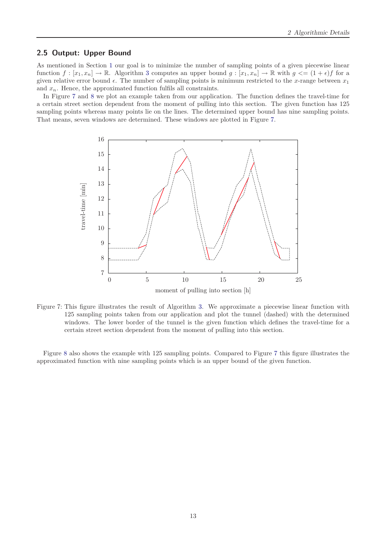#### <span id="page-12-0"></span>**2.5 Output: Upper Bound**

As mentioned in Section [1](#page-3-0) our goal is to minimize the number of sampling points of a given piecewise linear function  $f: [x_1, x_n] \to \mathbb{R}$ . Algorithm [3](#page-11-0) computes an upper bound  $g: [x_1, x_n] \to \mathbb{R}$  with  $g \leq (1 + \epsilon)f$  for a given relative error bound  $\epsilon$ . The number of sampling points is minimum restricted to the *x*-range between  $x_1$ and  $x_n$ . Hence, the approximated function fulfils all constraints.

In Figure [7](#page-12-1) and [8](#page-13-3) we plot an example taken from our application. The function defines the travel-time for a certain street section dependent from the moment of pulling into this section. The given function has 125 sampling points whereas many points lie on the lines. The determined upper bound has nine sampling points. That means, seven windows are determined. These windows are plotted in Figure [7.](#page-12-1)



<span id="page-12-1"></span>Figure 7: This figure illustrates the result of Algorithm [3.](#page-11-0) We approximate a piecewise linear function with 125 sampling points taken from our application and plot the tunnel (dashed) with the determined windows. The lower border of the tunnel is the given function which defines the travel-time for a certain street section dependent from the moment of pulling into this section.

Figure [8](#page-13-3) also shows the example with 125 sampling points. Compared to Figure [7](#page-12-1) this figure illustrates the approximated function with nine sampling points which is an upper bound of the given function.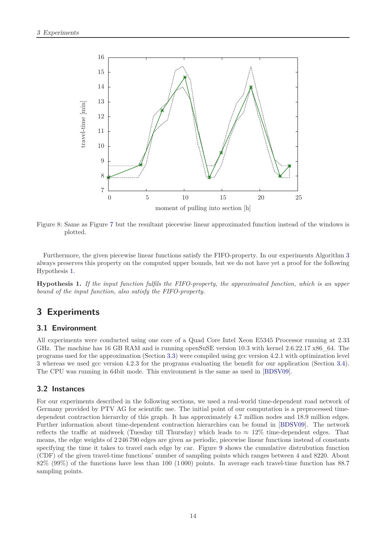

<span id="page-13-3"></span>Figure 8: Same as Figure [7](#page-12-1) but the resultant piecewise linear approximated function instead of the windows is plotted.

Furthermore, the given piecewise linear functions satisfy the FIFO-property. In our experiments Algorithm [3](#page-11-0) always preserves this property on the computed upper bounds, but we do not have yet a proof for the following Hypothesis [1.](#page-13-4)

<span id="page-13-4"></span>**Hypothesis 1.** *If the input function fulfils the FIFO-property, the approximated function, which is an upper bound of the input function, also satisfy the FIFO-property.*

## <span id="page-13-0"></span>**3 Experiments**

#### <span id="page-13-1"></span>**3.1 Environment**

All experiments were conducted using one core of a Quad Core Intel Xeon E5345 Processor running at 2*.*33 GHz. The machine has 16 GB RAM and is running openSuSE version 10.3 with kernel 2.6.22.17 x86 64. The programs used for the approximation (Section [3.3\)](#page-14-0) were compiled using gcc version 4.2.1 with optimization level 3 whereas we used gcc version 4.2.3 for the programs evaluating the benefit for our application (Section [3.4\)](#page-17-0). The CPU was running in 64bit mode. This environment is the same as used in [\[BDSV09\]](#page-23-2).

#### <span id="page-13-2"></span>**3.2 Instances**

For our experiments described in the following sections, we used a real-world time-dependent road network of Germany provided by PTV AG for scientific use. The initial point of our computation is a preprocessed timedependent contraction hierarchy of this graph. It has approximately 4*.*7 million nodes and 18*.*9 million edges. Further information about time-dependent contraction hierarchies can be found in [\[BDSV09\]](#page-23-2). The network reflects the traffic at midweek (Tuesday till Thursday) which leads to *≈* 12% time-dependent edges. That means, the edge weights of 2 246 790 edges are given as periodic, piecewise linear functions instead of constants specifying the time it takes to travel each edge by car. Figure [9](#page-14-1) shows the cumulative distrubution function (CDF) of the given travel-time functions' number of sampling points which ranges between 4 and 8220. About 82% (99%) of the functions have less than 100 (1 000) points. In average each travel-time function has 88*.*7 sampling points.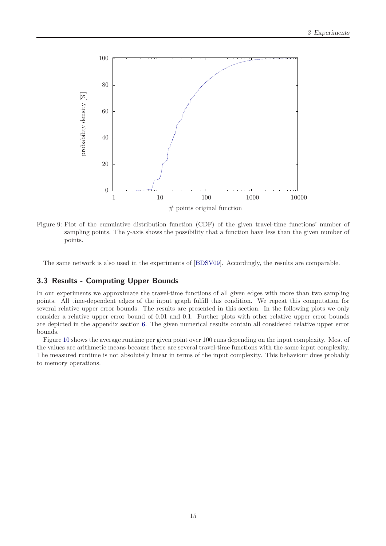

<span id="page-14-1"></span>Figure 9: Plot of the cumulative distribution function (CDF) of the given travel-time functions' number of sampling points. The y-axis shows the possibility that a function have less than the given number of points.

The same network is also used in the experiments of [\[BDSV09\]](#page-23-2). Accordingly, the results are comparable.

#### <span id="page-14-0"></span>**3.3 Results - Computing Upper Bounds**

In our experiments we approximate the travel-time functions of all given edges with more than two sampling points. All time-dependent edges of the input graph fulfill this condition. We repeat this computation for several relative upper error bounds. The results are presented in this section. In the following plots we only consider a relative upper error bound of 0*.*01 and 0*.*1. Further plots with other relative upper error bounds are depicted in the appendix section [6.](#page-22-0) The given numerical results contain all considered relative upper error bounds.

Figure [10](#page-15-0) shows the average runtime per given point over 100 runs depending on the input complexity. Most of the values are arithmetic means because there are several travel-time functions with the same input complexity. The measured runtime is not absolutely linear in terms of the input complexity. This behaviour dues probably to memory operations.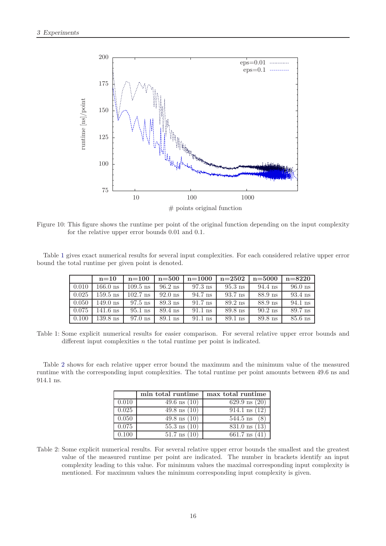

<span id="page-15-0"></span>Figure 10: This figure shows the runtime per point of the original function depending on the input complexity for the relative upper error bounds 0*.*01 and 0*.*1.

Table [1](#page-15-1) gives exact numerical results for several input complexities. For each considered relative upper error bound the total runtime per given point is denoted.

|       | $n=10$     | $n=100$    | $n = 500$ | $n = 1000$ | $n = 2502$ | $n = 5000$ | $n = 8220$ |
|-------|------------|------------|-----------|------------|------------|------------|------------|
| 0.010 | 166.0 ns   | $109.5$ ns | $96.2$ ns | $97.3$ ns  | $95.3$ ns  | 94.4 ns    | $96.0$ ns  |
| 0.025 | $159.5$ ns | $102.7$ ns | $92.0$ ns | 94.7 ns    | 93.7 ns    | 88.9 ns    | $93.4$ ns  |
| 0.050 | 149.0 ns   | $97.5$ ns  | $89.3$ ns | $91.7$ ns  | $89.2$ ns  | $88.9$ ns  | $94.1$ ns  |
| 0.075 | $141.6$ ns | $95.1$ ns  | $89.4$ ns | $91.1$ ns  | $89.8$ ns  | $90.2$ ns  | 89.7 ns    |
| 0.100 | $139.8$ ns | $97.0$ ns  | $89.1$ ns | $91.1$ ns  | 89.1 ns    | $89.8$ ns  | $85.6$ ns  |

<span id="page-15-1"></span>Table 1: Some explicit numerical results for easier comparison. For several relative upper error bounds and different input complexities *n* the total runtime per point is indicated.

Table [2](#page-15-2) shows for each relative upper error bound the maximum and the minimum value of the measured runtime with the corresponding input complexities. The total runtime per point amounts between 49*.*6 ns and 914*.*1 ns.

|       | min total runtime       | max total runtime        |
|-------|-------------------------|--------------------------|
| 0.010 | $49.6 \text{ ns } (10)$ | $629.9 \text{ ns} (20)$  |
| 0.025 | $49.8 \text{ ns } (10)$ | $914.1 \text{ ns } (12)$ |
| 0.050 | $49.8 \text{ ns } (10)$ | $544.5$ ns               |
| 0.075 | $55.3 \text{ ns } (10)$ | $831.0 \text{ ns} (13)$  |
| 0.100 | $51.7 \text{ ns} (10)$  | $661.7 \text{ ns}$ (     |

<span id="page-15-2"></span>Table 2: Some explicit numerical results. For several relative upper error bounds the smallest and the greatest value of the measured runtime per point are indicated. The number in brackets identify an input complexity leading to this value. For minimum values the maximal corresponding input complexity is mentioned. For maximum values the minimum corresponding input complexity is given.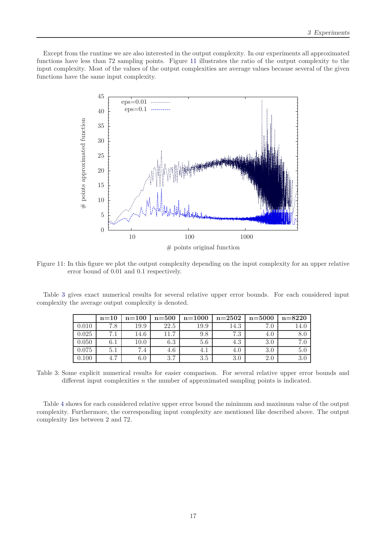Except from the runtime we are also interested in the output complexity. In our experiments all approximated functions have less than 72 sampling points. Figure [11](#page-16-0) illustrates the ratio of the output complexity to the input complexity. Most of the values of the output complexities are average values because several of the given functions have the same input complexity.



<span id="page-16-0"></span>Figure 11: In this figure we plot the output complexity depending on the input complexity for an upper relative error bound of 0*.*01 and 0*.*1 respectively.

Table [3](#page-16-1) gives exact numerical results for several relative upper error bounds. For each considered input complexity the average output complexity is denoted.

|       | $n=10$                | $n=100$       | $n=500$        | $n = 1000$ | $n=2502$ | $n = 5000$ | $n = 8220$ |
|-------|-----------------------|---------------|----------------|------------|----------|------------|------------|
| 0.010 | 7.8                   | 19.9          | 22.5           | 19.9       | 14.3     |            |            |
| 0.025 | . .                   | 14.6          | $\overline{ }$ | 9.8        | 79<br>   | 4.U        |            |
| 0.050 | $6.1\,$               | $10.0\,$      | $6.3\,$        | 5.6        | 4.3      | 3.0        |            |
| 0.075 | 5.1                   | $^{\prime}.4$ | 4.6            | 4. 1       | 4.0      | 3.0        |            |
| .100  | $\overline{ }$<br>4., | 0.U           | 27<br>. G      | 3.5        | 3.0      | 2.0        |            |

<span id="page-16-1"></span>Table 3: Some explicit numerical results for easier comparison. For several relative upper error bounds and different input complexities *n* the number of approximated sampling points is indicated.

Table [4](#page-17-1) shows for each considered relative upper error bound the minimum and maximum value of the output complexity. Furthermore, the corresponding input complexity are mentioned like described above. The output complexity lies between 2 and 72.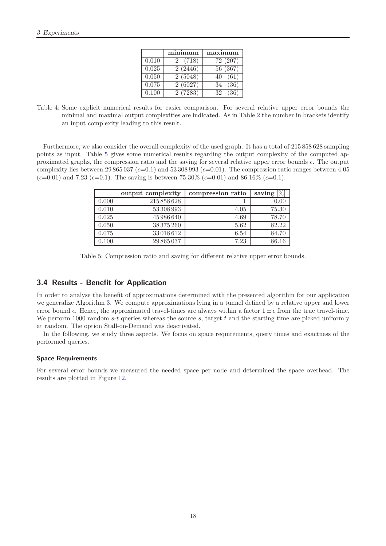|       | minimum    | maximum     |
|-------|------------|-------------|
| 0.010 | (718)<br>2 | 72 (207)    |
| 0.025 | 2(2446)    | (367)<br>56 |
| 0.050 | 2(5048)    |             |
| 0.075 | 2(6027)    | '36'<br>34  |
| 0.100 | 2(7283)    | 39          |

<span id="page-17-1"></span>Table 4: Some explicit numerical results for easier comparison. For several relative upper error bounds the minimal and maximal output complexities are indicated. As in Table [2](#page-15-2) the number in brackets identify an input complexity leading to this result.

Furthermore, we also consider the overall complexity of the used graph. It has a total of 215 858 628 sampling points as input. Table [5](#page-17-2) gives some numerical results regarding the output complexity of the computed approximated graphs, the compression ratio and the saving for several relative upper error bounds  $\epsilon$ . The output complexity lies between 29 865 037 ( $\epsilon$ =0.1) and 53 308 993 ( $\epsilon$ =0.01). The compression ratio ranges between 4.05  $(\epsilon=0.01)$  and 7.23  $(\epsilon=0.1)$ . The saving is between 75.30%  $(\epsilon=0.01)$  and 86.16%  $(\epsilon=0.1)$ .

|       | output complexity | compression ratio | $\%$<br>saving |
|-------|-------------------|-------------------|----------------|
| 0.000 | 215858628         |                   | 0.00           |
| 0.010 | 53 308 993        | 4.05              | 75.30          |
| 0.025 | 45986640          | 4.69              | 78.70          |
| 0.050 | 38 375 260        | 5.62              | 82.22          |
| 0.075 | 33018612          | 6.54              | 84.70          |
| 0.100 | 29 865 037        | 7.23              | 86.16          |

<span id="page-17-2"></span>Table 5: Compression ratio and saving for different relative upper error bounds.

#### <span id="page-17-0"></span>**3.4 Results - Benefit for Application**

In order to analyse the benefit of approximations determined with the presented algorithm for our application we generalize Algorithm [3.](#page-11-0) We compute approximations lying in a tunnel defined by a relative upper and lower error bound  $\epsilon$ . Hence, the approximated travel-times are always within a factor  $1 \pm \epsilon$  from the true travel-time. We perform 1000 random *s*-*t* queries whereas the source *s*, target *t* and the starting time are picked uniformly at random. The option Stall-on-Demand was deactivated.

In the following, we study three aspects. We focus on space requirements, query times and exactness of the performed queries.

#### **Space Requirements**

For several error bounds we measured the needed space per node and determined the space overhead. The results are plotted in Figure [12.](#page-18-0)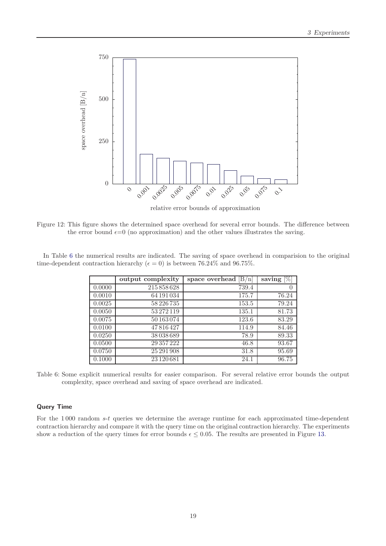

relative error bounds of approximation

<span id="page-18-0"></span>Figure 12: This figure shows the determined space overhead for several error bounds. The difference between the error bound  $\epsilon=0$  (no approximation) and the other values illustrates the saving.

In Table [6](#page-18-1) the numerical results are indicated. The saving of space overhead in comparision to the original time-dependent contraction hierarchy ( $\epsilon = 0$ ) is between 76.24\% and 96.75\%.

|        | output complexity | space overhead<br>[B/n] | saving $[\%]$ |
|--------|-------------------|-------------------------|---------------|
| 0.0000 | 215858628         | 739.4                   | $\theta$      |
| 0.0010 | 64 191 034        | 175.7                   | 76.24         |
| 0.0025 | 58226735          | 153.5                   | 79.24         |
| 0.0050 | 53272119          | 135.1                   | 81.73         |
| 0.0075 | 50163074          | 123.6                   | 83.29         |
| 0.0100 | 47816427          | 114.9                   | 84.46         |
| 0.0250 | 38038689          | 78.9                    | 89.33         |
| 0.0500 | 29 357 222        | 46.8                    | 93.67         |
| 0.0750 | 25 291 908        | 31.8                    | 95.69         |
| 0.1000 | 23 1 20 6 8 1     | 24.1                    | 96.75         |

<span id="page-18-1"></span>Table 6: Some explicit numerical results for easier comparison. For several relative error bounds the output complexity, space overhead and saving of space overhead are indicated.

#### **Query Time**

For the 1 000 random *s*-*t* queries we determine the average runtime for each approximated time-dependent contraction hierarchy and compare it with the query time on the original contraction hierarchy. The experiments show a reduction of the query times for error bounds  $\epsilon \leq 0.05$ . The results are presented in Figure [13.](#page-19-0)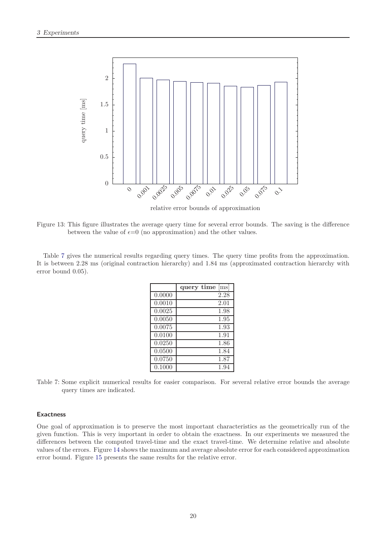

relative error bounds of approximation

<span id="page-19-0"></span>Figure 13: This figure illustrates the average query time for several error bounds. The saving is the difference between the value of  $\epsilon = 0$  (no approximation) and the other values.

Table [7](#page-19-1) gives the numerical results regarding query times. The query time profits from the approximation. It is between 2*.*28 ms (original contraction hierarchy) and 1*.*84 ms (approximated contraction hierarchy with error bound 0*.*05).

|        | m <sub>S</sub>  <br>query time |
|--------|--------------------------------|
| 0.0000 | 2.28                           |
| 0.0010 | 2.01                           |
| 0.0025 | 1.98                           |
| 0.0050 | 1.95                           |
| 0.0075 | 1.93                           |
| 0.0100 | 1.91                           |
| 0.0250 | 1.86                           |
| 0.0500 | 1.84                           |
| 0.0750 | 1.87                           |
| 0.1000 | 1.94                           |

<span id="page-19-1"></span>Table 7: Some explicit numerical results for easier comparison. For several relative error bounds the average query times are indicated.

#### **Exactness**

One goal of approximation is to preserve the most important characteristics as the geometrically run of the given function. This is very important in order to obtain the exactness. In our experiments we measured the differences between the computed travel-time and the exact travel-time. We determine relative and absolute values of the errors. Figure [14](#page-20-0) shows the maximum and average absolute error for each considered approximation error bound. Figure [15](#page-20-1) presents the same results for the relative error.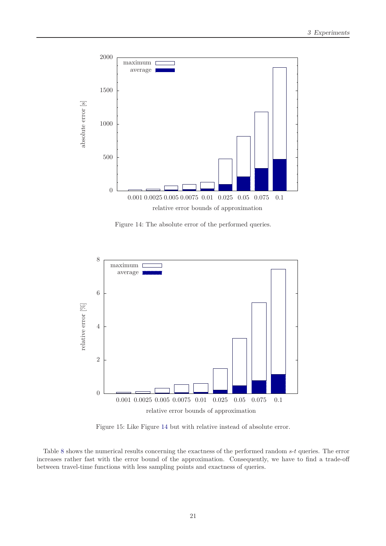

<span id="page-20-0"></span>Figure 14: The absolute error of the performed queries.



<span id="page-20-1"></span>Figure 15: Like Figure [14](#page-20-0) but with relative instead of absolute error.

Table [8](#page-21-2) shows the numerical results concerning the exactness of the performed random *s*-*t* queries. The error increases rather fast with the error bound of the approximation. Consequently, we have to find a trade-off between travel-time functions with less sampling points and exactness of queries.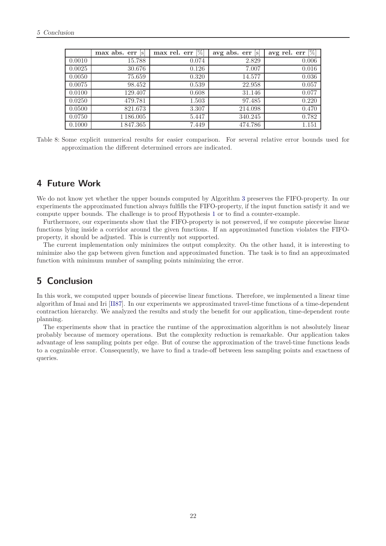|        | $max$ abs. $err$  s | [%]<br>max rel. err | avg abs. $err$  s | avg rel. $err$ [%] |
|--------|---------------------|---------------------|-------------------|--------------------|
| 0.0010 | 15.788              | 0.074               | 2.829             | 0.006              |
| 0.0025 | 30.676              | 0.126               | 7.007             | 0.016              |
| 0.0050 | 75.659              | 0.320               | 14.577            | 0.036              |
| 0.0075 | 98.452              | 0.539               | 22.958            | 0.057              |
| 0.0100 | 129.407             | 0.608               | 31.146            | 0.077              |
| 0.0250 | 479.781             | 1.503               | 97.485            | 0.220              |
| 0.0500 | 821.673             | 3.307               | 214.098           | 0.470              |
| 0.0750 | 1 1 8 6 .00 5       | 5.447               | 340.245           | 0.782              |
| 0.1000 | 1847.365            | 7.449               | 474.786           | 1.151              |

<span id="page-21-2"></span>Table 8: Some explicit numerical results for easier comparison. For several relative error bounds used for approximation the different determined errors are indicated.

## <span id="page-21-0"></span>**4 Future Work**

We do not know yet whether the upper bounds computed by Algorithm [3](#page-11-0) preserves the FIFO-property. In our experiments the approximated function always fulfills the FIFO-property, if the input function satisfy it and we compute upper bounds. The challenge is to proof Hypothesis [1](#page-13-4) or to find a counter-example.

Furthermore, our experiments show that the FIFO-property is not preserved, if we compute piecewise linear functions lying inside a corridor around the given functions. If an approximated function violates the FIFOproperty, it should be adjusted. This is currently not supported.

The current implementation only minimizes the output complexity. On the other hand, it is interesting to minimize also the gap between given function and approximated function. The task is to find an approximated function with minimum number of sampling points minimizing the error.

## <span id="page-21-1"></span>**5 Conclusion**

In this work, we computed upper bounds of piecewise linear functions. Therefore, we implemented a linear time algorithm of Imai and Iri [\[II87\]](#page-23-0). In our experiments we approximated travel-time functions of a time-dependent contraction hierarchy. We analyzed the results and study the benefit for our application, time-dependent route planning.

The experiments show that in practice the runtime of the approximation algorithm is not absolutely linear probably because of memory operations. But the complexity reduction is remarkable. Our application takes advantage of less sampling points per edge. But of course the approximation of the travel-time functions leads to a cognizable error. Consequently, we have to find a trade-off between less sampling points and exactness of queries.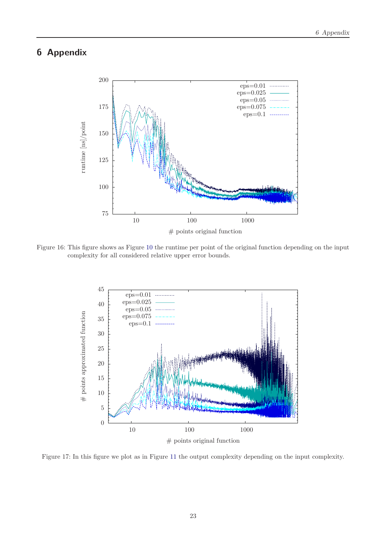## <span id="page-22-0"></span>**6 Appendix**



Figure 16: This figure shows as Figure [10](#page-15-0) the runtime per point of the original function depending on the input complexity for all considered relative upper error bounds.



Figure 17: In this figure we plot as in Figure [11](#page-16-0) the output complexity depending on the input complexity.